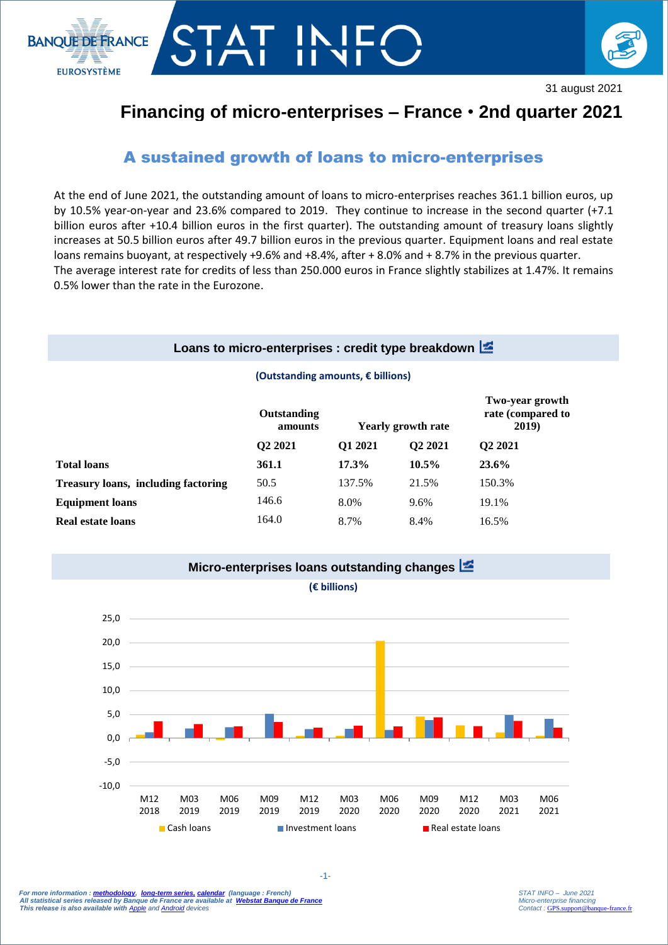



31 august 2021

# **Financing of micro-enterprises – France** • **2nd quarter 2021**

## A sustained growth of loans to micro-enterprises

At the end of June 2021, the outstanding amount of loans to micro-enterprises reaches 361.1 billion euros, up by 10.5% year-on-year and 23.6% compared to 2019. They continue to increase in the second quarter (+7.1 billion euros after +10.4 billion euros in the first quarter). The outstanding amount of treasury loans slightly increases at 50.5 billion euros after 49.7 billion euros in the previous quarter. Equipment loans and real estate loans remains buoyant, at respectively +9.6% and +8.4%, after + 8.0% and + 8.7% in the previous quarter. The average interest rate for credits of less than 250.000 euros in France slightly stabilizes at 1.47%. It remains 0.5% lower than the rate in the Eurozone.

#### **Loans to micro-enterprises : credit type breakdown**

#### **(Outstanding amounts, € billions)**

|                                     | Outstanding<br>amounts | <b>Yearly growth rate</b> |                     | Two-year growth<br>rate (compared to<br>2019) |
|-------------------------------------|------------------------|---------------------------|---------------------|-----------------------------------------------|
|                                     | Q2 2021                | O1 2021                   | O <sub>2</sub> 2021 | O <sub>2</sub> 2021                           |
| <b>Total loans</b>                  | 361.1                  | 17.3%                     | $10.5\%$            | 23.6%                                         |
| Treasury loans, including factoring | 50.5                   | 137.5%                    | 21.5%               | 150.3%                                        |
| <b>Equipment loans</b>              | 146.6                  | 8.0%                      | 9.6%                | 19.1%                                         |
| <b>Real estate loans</b>            | 164.0                  | 8.7%                      | 8.4%                | 16.5%                                         |



For more information : <u>methodology,  [long-term series,](http://webstat.banque-france.fr/fr/browse.do?node=5384934) calendar</u> (language : French)<br>All statistical series released by Banque de France are available at <mark>Webstat Banque de France</mark> *This release is also available with [Apple](https://itunes.apple.com/fr/app/banquefrance/id663817914?mt=8) an[d Android](https://play.google.com/store/apps/details?id=fr.bdf.mobile&feature=search_result#?t=W251bGwsMSwyLDEsImZyLmJkZi5tb2JpbGUiXQ) devices*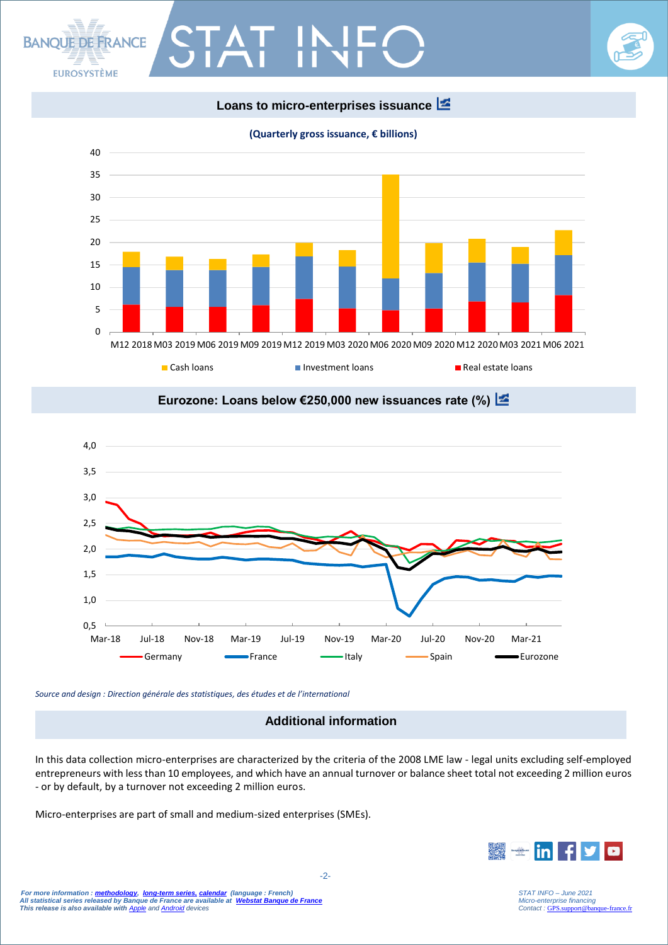

**(Quarterly gross issuance, € billions)**







*Source and design : Direction générale des statistiques, des études et de l'international*

**BANOUE DE ERANCE** 

**EUROSYSTÈME** 

### **Additional information**

In this data collection micro-enterprises are characterized by the criteria of the 2008 LME law - legal units excluding self-employed entrepreneurs with less than 10 employees, and which have an annual turnover or balance sheet total not exceeding 2 million euros - or by default, by a turnover not exceeding 2 million euros.

Micro-enterprises are part of small and medium-sized enterprises (SMEs).